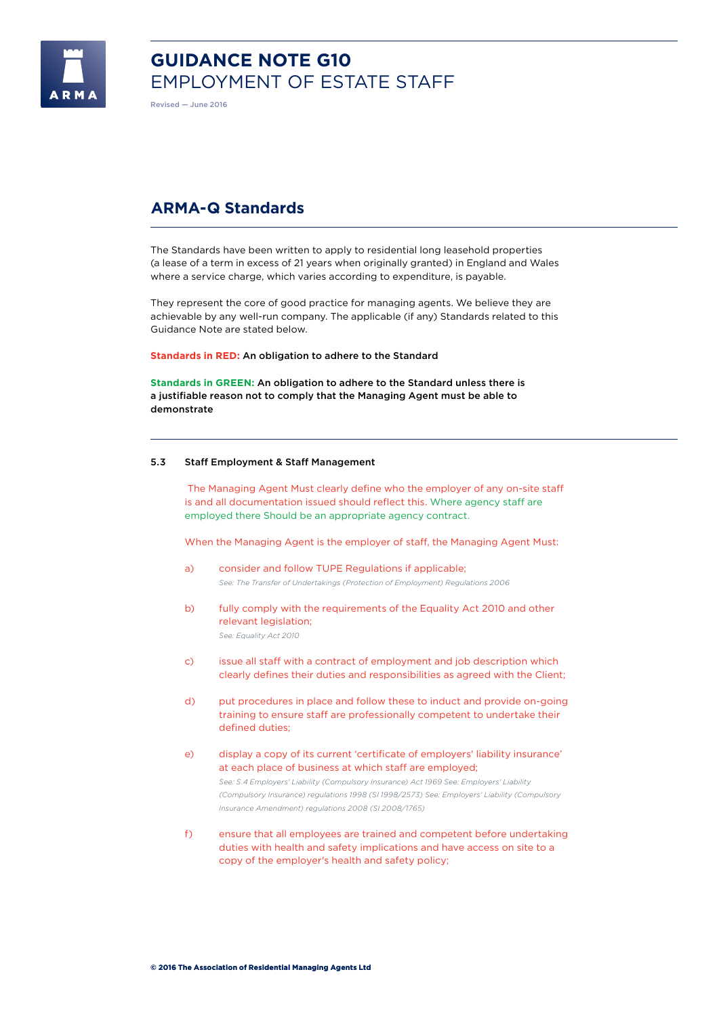

# **GUIDANCE NOTE G10**  EMPLOYMENT OF ESTATE STAFF

Revised — June 2016

# **ARMA-Q Standards**

The Standards have been written to apply to residential long leasehold properties (a lease of a term in excess of 21 years when originally granted) in England and Wales where a service charge, which varies according to expenditure, is payable.

They represent the core of good practice for managing agents. We believe they are achievable by any well-run company. The applicable (if any) Standards related to this Guidance Note are stated below.

**Standards in RED:** An obligation to adhere to the Standard

**Standards in GREEN:** An obligation to adhere to the Standard unless there is a justifiable reason not to comply that the Managing Agent must be able to demonstrate

# 5.3 Staff Employment & Staff Management

 The Managing Agent Must clearly define who the employer of any on-site staff is and all documentation issued should reflect this. Where agency staff are employed there Should be an appropriate agency contract.

When the Managing Agent is the employer of staff, the Managing Agent Must:

- a) consider and follow TUPE Regulations if applicable; *See: The Transfer of Undertakings (Protection of Employment) Regulations 2006*
- b) fully comply with the requirements of the Equality Act 2010 and other relevant legislation; *See: Equality Act 2010*
- c) issue all staff with a contract of employment and job description which clearly defines their duties and responsibilities as agreed with the Client;
- d) put procedures in place and follow these to induct and provide on-going training to ensure staff are professionally competent to undertake their defined duties;
- e) display a copy of its current 'certificate of employers' liability insurance' at each place of business at which staff are employed; *See: S.4 Employers' Liability (Compulsory Insurance) Act 1969 See: Employers' Liability (Compulsory Insurance) regulations 1998 (SI 1998/2573) See: Employers' Liability (Compulsory Insurance Amendment) regulations 2008 (SI 2008/1765)*
- f) ensure that all employees are trained and competent before undertaking duties with health and safety implications and have access on site to a copy of the employer's health and safety policy;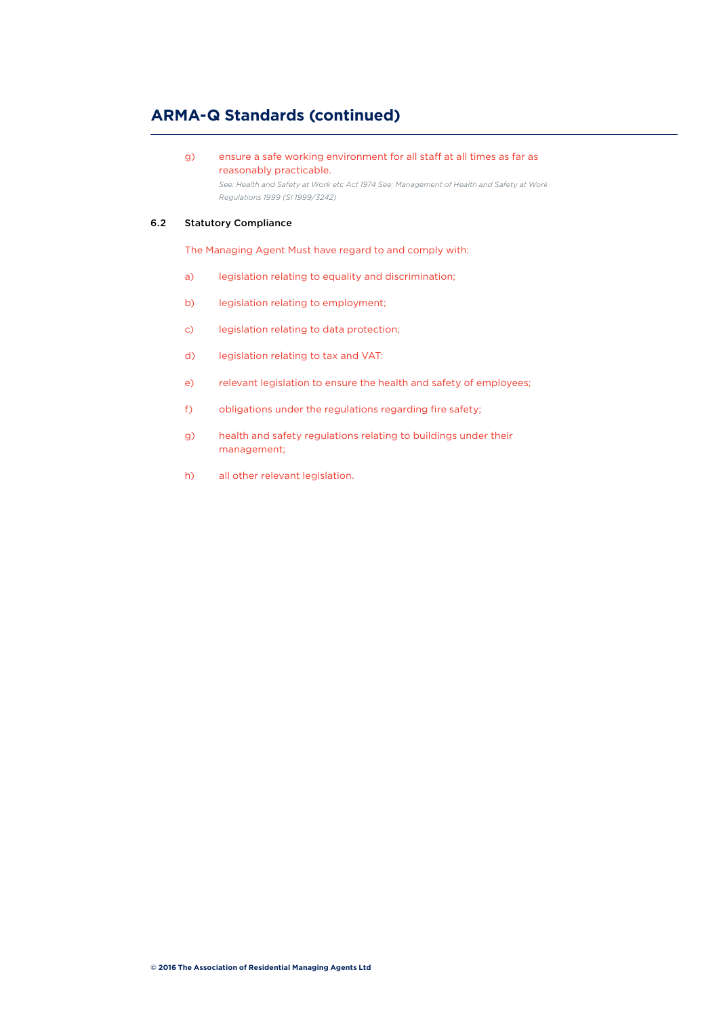# **ARMA-Q Standards (continued)**

g) ensure a safe working environment for all staff at all times as far as reasonably practicable.

*See: Health and Safety at Work etc Act 1974 See: Management of Health and Safety at Work Regulations 1999 (SI 1999/3242)* 

# 6.2 Statutory Compliance

The Managing Agent Must have regard to and comply with:

- a) legislation relating to equality and discrimination;
- b) legislation relating to employment;
- c) legislation relating to data protection;
- d) legislation relating to tax and VAT:
- e) relevant legislation to ensure the health and safety of employees;
- f) obligations under the regulations regarding fire safety;
- g) health and safety regulations relating to buildings under their management;
- h) all other relevant legislation.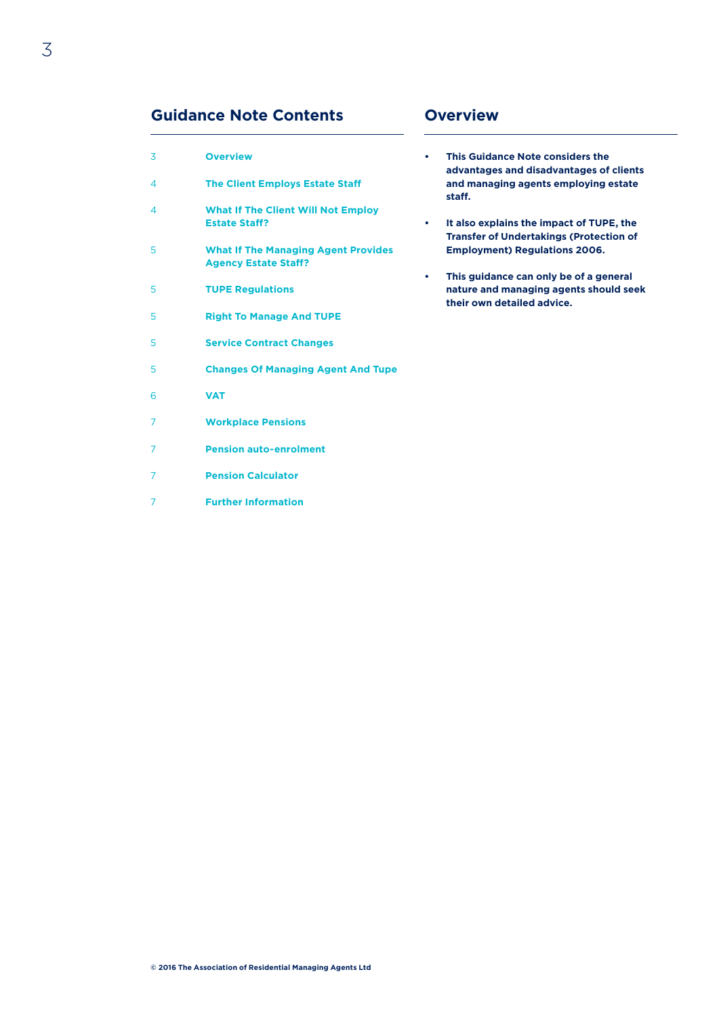# **Guidance Note Contents Overview**

| 3                        | <b>Overview</b>                                                           |
|--------------------------|---------------------------------------------------------------------------|
| $\overline{\mathcal{A}}$ | <b>The Client Employs Estate Staff</b>                                    |
| $\overline{\mathcal{A}}$ | <b>What If The Client Will Not Employ</b><br><b>Estate Staff?</b>         |
| 5                        | <b>What If The Managing Agent Provides</b><br><b>Agency Estate Staff?</b> |
| 5                        | <b>TUPE Regulations</b>                                                   |
| 5                        | <b>Right To Manage And TUPE</b>                                           |
| 5                        | <b>Service Contract Changes</b>                                           |
| 5                        | <b>Changes Of Managing Agent And Tupe</b>                                 |
| 6                        | <b>VAT</b>                                                                |
| 7                        | <b>Workplace Pensions</b>                                                 |
| 7                        | <b>Pension auto-enrolment</b>                                             |
| 7                        | <b>Pension Calculator</b>                                                 |
| 7                        | <b>Further Information</b>                                                |

- **• This Guidance Note considers the advantages and disadvantages of clients and managing agents employing estate staff.**
- **• It also explains the impact of TUPE, the Transfer of Undertakings (Protection of Employment) Regulations 2006.**
- **• This guidance can only be of a general nature and managing agents should seek their own detailed advice.**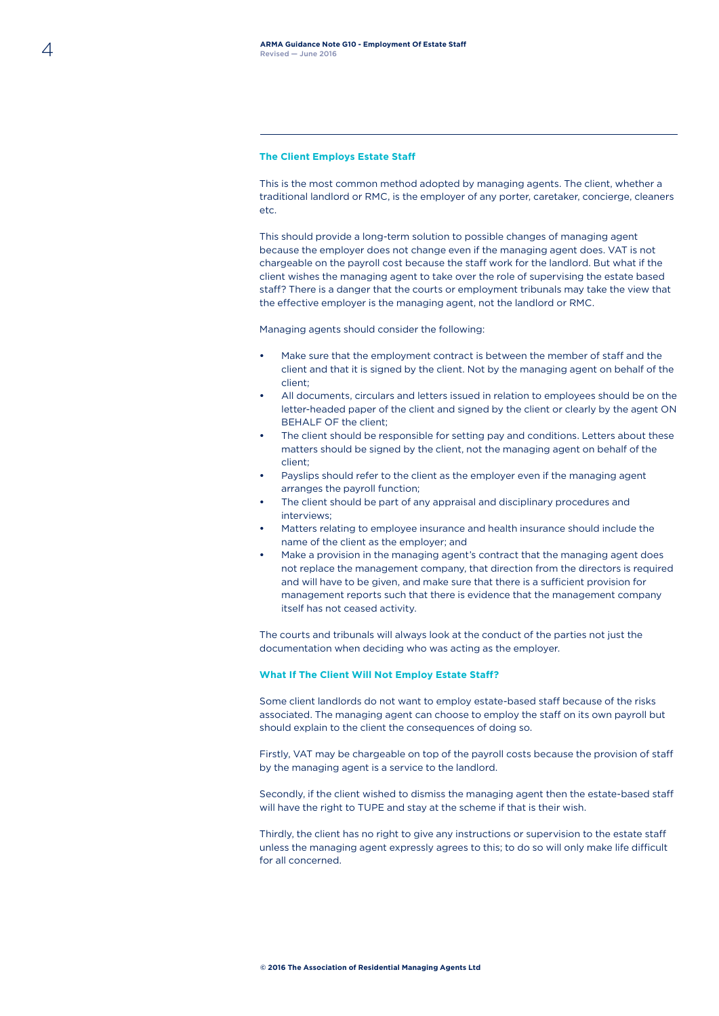# **The Client Employs Estate Staff**

This is the most common method adopted by managing agents. The client, whether a traditional landlord or RMC, is the employer of any porter, caretaker, concierge, cleaners etc.

This should provide a long-term solution to possible changes of managing agent because the employer does not change even if the managing agent does. VAT is not chargeable on the payroll cost because the staff work for the landlord. But what if the client wishes the managing agent to take over the role of supervising the estate based staff? There is a danger that the courts or employment tribunals may take the view that the effective employer is the managing agent, not the landlord or RMC.

Managing agents should consider the following:

- **•** Make sure that the employment contract is between the member of staff and the client and that it is signed by the client. Not by the managing agent on behalf of the client;
- **•** All documents, circulars and letters issued in relation to employees should be on the letter-headed paper of the client and signed by the client or clearly by the agent ON BEHALF OF the client;
- **•** The client should be responsible for setting pay and conditions. Letters about these matters should be signed by the client, not the managing agent on behalf of the client;
- **•** Payslips should refer to the client as the employer even if the managing agent arranges the payroll function;
- **•** The client should be part of any appraisal and disciplinary procedures and interviews;
- **•** Matters relating to employee insurance and health insurance should include the name of the client as the employer; and
- **•** Make a provision in the managing agent's contract that the managing agent does not replace the management company, that direction from the directors is required and will have to be given, and make sure that there is a sufficient provision for management reports such that there is evidence that the management company itself has not ceased activity.

The courts and tribunals will always look at the conduct of the parties not just the documentation when deciding who was acting as the employer.

#### **What If The Client Will Not Employ Estate Staff?**

Some client landlords do not want to employ estate-based staff because of the risks associated. The managing agent can choose to employ the staff on its own payroll but should explain to the client the consequences of doing so.

Firstly, VAT may be chargeable on top of the payroll costs because the provision of staff by the managing agent is a service to the landlord.

Secondly, if the client wished to dismiss the managing agent then the estate-based staff will have the right to TUPE and stay at the scheme if that is their wish.

Thirdly, the client has no right to give any instructions or supervision to the estate staff unless the managing agent expressly agrees to this; to do so will only make life difficult for all concerned.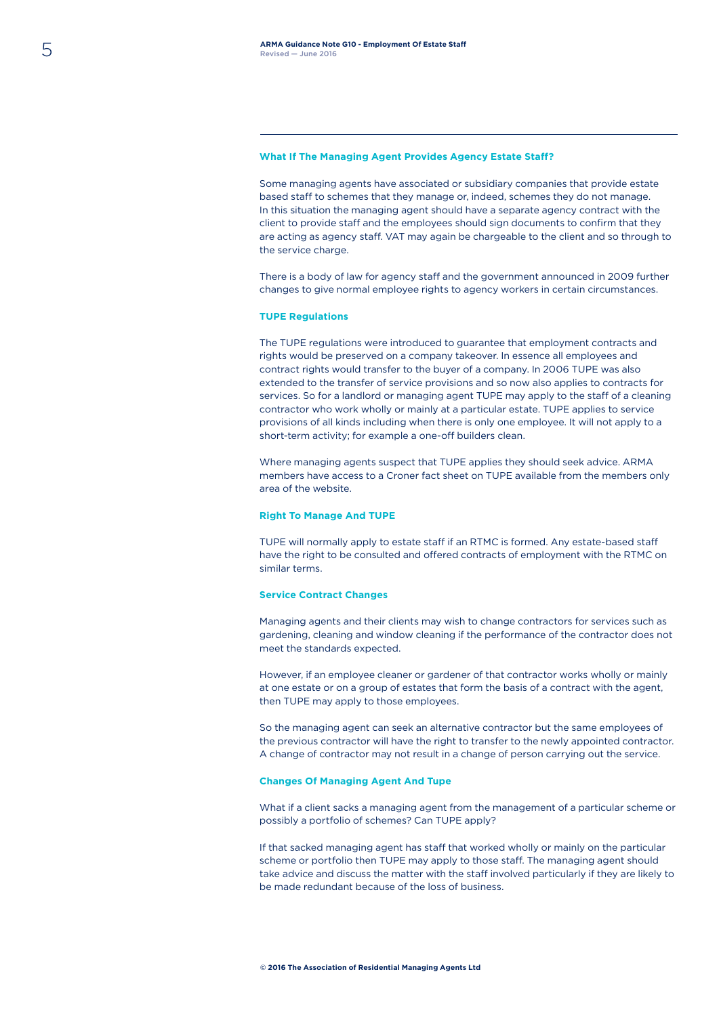#### **What If The Managing Agent Provides Agency Estate Staff?**

Some managing agents have associated or subsidiary companies that provide estate based staff to schemes that they manage or, indeed, schemes they do not manage. In this situation the managing agent should have a separate agency contract with the client to provide staff and the employees should sign documents to confirm that they are acting as agency staff. VAT may again be chargeable to the client and so through to the service charge.

There is a body of law for agency staff and the government announced in 2009 further changes to give normal employee rights to agency workers in certain circumstances.

#### **TUPE Regulations**

The TUPE regulations were introduced to guarantee that employment contracts and rights would be preserved on a company takeover. In essence all employees and contract rights would transfer to the buyer of a company. In 2006 TUPE was also extended to the transfer of service provisions and so now also applies to contracts for services. So for a landlord or managing agent TUPE may apply to the staff of a cleaning contractor who work wholly or mainly at a particular estate. TUPE applies to service provisions of all kinds including when there is only one employee. It will not apply to a short-term activity; for example a one-off builders clean.

Where managing agents suspect that TUPE applies they should seek advice. ARMA members have access to a Croner fact sheet on TUPE available from the members only area of the website.

#### **Right To Manage And TUPE**

TUPE will normally apply to estate staff if an RTMC is formed. Any estate-based staff have the right to be consulted and offered contracts of employment with the RTMC on similar terms.

#### **Service Contract Changes**

Managing agents and their clients may wish to change contractors for services such as gardening, cleaning and window cleaning if the performance of the contractor does not meet the standards expected.

However, if an employee cleaner or gardener of that contractor works wholly or mainly at one estate or on a group of estates that form the basis of a contract with the agent, then TUPE may apply to those employees.

So the managing agent can seek an alternative contractor but the same employees of the previous contractor will have the right to transfer to the newly appointed contractor. A change of contractor may not result in a change of person carrying out the service.

#### **Changes Of Managing Agent And Tupe**

What if a client sacks a managing agent from the management of a particular scheme or possibly a portfolio of schemes? Can TUPE apply?

If that sacked managing agent has staff that worked wholly or mainly on the particular scheme or portfolio then TUPE may apply to those staff. The managing agent should take advice and discuss the matter with the staff involved particularly if they are likely to be made redundant because of the loss of business.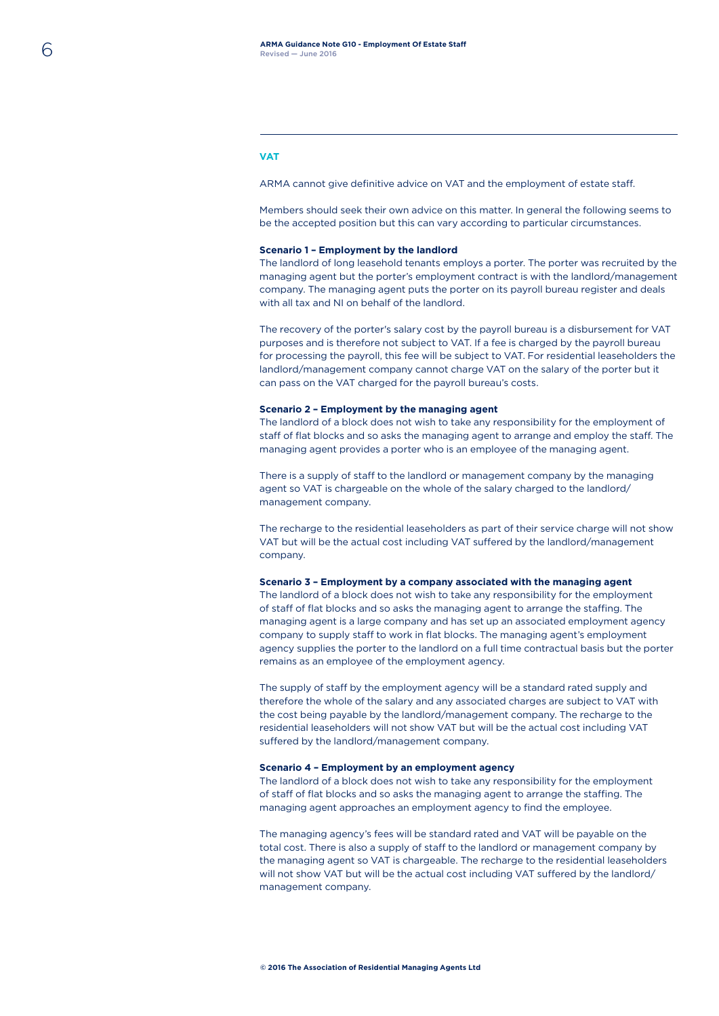# **VAT**

ARMA cannot give definitive advice on VAT and the employment of estate staff.

Members should seek their own advice on this matter. In general the following seems to be the accepted position but this can vary according to particular circumstances.

### **Scenario 1 – Employment by the landlord**

The landlord of long leasehold tenants employs a porter. The porter was recruited by the managing agent but the porter's employment contract is with the landlord/management company. The managing agent puts the porter on its payroll bureau register and deals with all tax and NI on behalf of the landlord.

The recovery of the porter's salary cost by the payroll bureau is a disbursement for VAT purposes and is therefore not subject to VAT. If a fee is charged by the payroll bureau for processing the payroll, this fee will be subject to VAT. For residential leaseholders the landlord/management company cannot charge VAT on the salary of the porter but it can pass on the VAT charged for the payroll bureau's costs.

#### **Scenario 2 – Employment by the managing agent**

The landlord of a block does not wish to take any responsibility for the employment of staff of flat blocks and so asks the managing agent to arrange and employ the staff. The managing agent provides a porter who is an employee of the managing agent.

There is a supply of staff to the landlord or management company by the managing agent so VAT is chargeable on the whole of the salary charged to the landlord/ management company.

The recharge to the residential leaseholders as part of their service charge will not show VAT but will be the actual cost including VAT suffered by the landlord/management company.

### **Scenario 3 – Employment by a company associated with the managing agent**

The landlord of a block does not wish to take any responsibility for the employment of staff of flat blocks and so asks the managing agent to arrange the staffing. The managing agent is a large company and has set up an associated employment agency company to supply staff to work in flat blocks. The managing agent's employment agency supplies the porter to the landlord on a full time contractual basis but the porter remains as an employee of the employment agency.

The supply of staff by the employment agency will be a standard rated supply and therefore the whole of the salary and any associated charges are subject to VAT with the cost being payable by the landlord/management company. The recharge to the residential leaseholders will not show VAT but will be the actual cost including VAT suffered by the landlord/management company.

#### **Scenario 4 – Employment by an employment agency**

The landlord of a block does not wish to take any responsibility for the employment of staff of flat blocks and so asks the managing agent to arrange the staffing. The managing agent approaches an employment agency to find the employee.

The managing agency's fees will be standard rated and VAT will be payable on the total cost. There is also a supply of staff to the landlord or management company by the managing agent so VAT is chargeable. The recharge to the residential leaseholders will not show VAT but will be the actual cost including VAT suffered by the landlord/ management company.